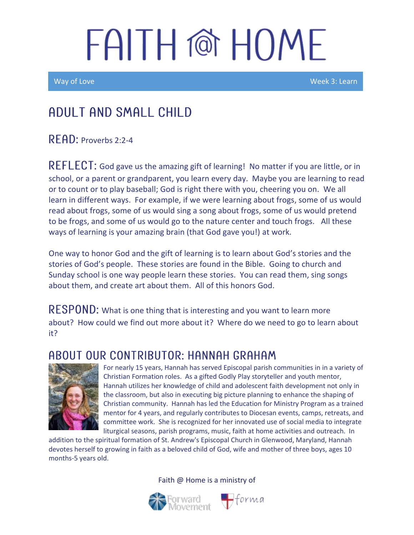Way of Love New York 2012 (New York 2012) which were with the United States of the Week 3: Learn

### Adult and Small Child

READ: Proverbs 2:2-4

 $REFLECT$ : God gave us the amazing gift of learning! No matter if you are little, or in school, or a parent or grandparent, you learn every day. Maybe you are learning to read or to count or to play baseball; God is right there with you, cheering you on. We all learn in different ways. For example, if we were learning about frogs, some of us would read about frogs, some of us would sing a song about frogs, some of us would pretend to be frogs, and some of us would go to the nature center and touch frogs. All these ways of learning is your amazing brain (that God gave you!) at work.

One way to honor God and the gift of learning is to learn about God's stories and the stories of God's people. These stories are found in the Bible. Going to church and Sunday school is one way people learn these stories. You can read them, sing songs about them, and create art about them. All of this honors God.

RESPOND: What is one thing that is interesting and you want to learn more about? How could we find out more about it? Where do we need to go to learn about it?

#### A BOUT OUR CONTRIBUTOR: HANNAH GRAHAM



For nearly 15 years, Hannah has served Episcopal parish communities in in a variety of Christian Formation roles. As a gifted Godly Play storyteller and youth mentor, Hannah utilizes her knowledge of child and adolescent faith development not only in the classroom, but also in executing big picture planning to enhance the shaping of Christian community. Hannah has led the Education for Ministry Program as a trained mentor for 4 years, and regularly contributes to Diocesan events, camps, retreats, and committee work. She is recognized for her innovated use of social media to integrate liturgical seasons, parish programs, music, faith at home activities and outreach. In

addition to the spiritual formation of St. Andrew's Episcopal Church in Glenwood, Maryland, Hannah devotes herself to growing in faith as a beloved child of God, wife and mother of three boys, ages 10 months-5 years old.

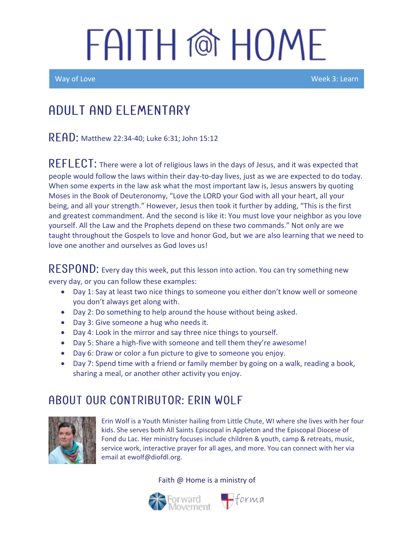Ī

Way of Love New York 2: Learn New York 2: Learn New York 2: Learn New York 2: Learn

## Adult and elementary

READ: Matthew 22:34-40; Luke 6:31; John 15:12

REFLECT: There were a lot of religious laws in the days of Jesus, and it was expected that people would follow the laws within their day-to-day lives, just as we are expected to do today. When some experts in the law ask what the most important law is, Jesus answers by quoting Moses in the Book of Deuteronomy, "Love the LORD your God with all your heart, all your being, and all your strength." However, Jesus then took it further by adding, "This is the first and greatest commandment. And the second is like it: You must love your neighbor as you love yourself. All the Law and the Prophets depend on these two commands." Not only are we taught throughout the Gospels to love and honor God, but we are also learning that we need to love one another and ourselves as God loves us!

 $\mathsf{RESPOND}\text{:}$  Every day this week, put this lesson into action. You can try something new every day, or you can follow these examples:

- Day 1: Say at least two nice things to someone you either don't know well or someone you don't always get along with.
- Day 2: Do something to help around the house without being asked.
- Day 3: Give someone a hug who needs it.
- Day 4: Look in the mirror and say three nice things to yourself.
- Day 5: Share a high-five with someone and tell them they're awesome!
- Day 6: Draw or color a fun picture to give to someone you enjoy.
- Day 7: Spend time with a friend or family member by going on a walk, reading a book, sharing a meal, or another other activity you enjoy.

#### ABOUT OUR CONTRIBUTOR: ERIN WOLF



Erin Wolf is a Youth Minister hailing from Little Chute, WI where she lives with her four kids. She serves both All Saints Episcopal in Appleton and the Episcopal Diocese of Fond du Lac. Her ministry focuses include children & youth, camp & retreats, music, service work, interactive prayer for all ages, and more. You can connect with her via email at ewolf@diofdl.org.



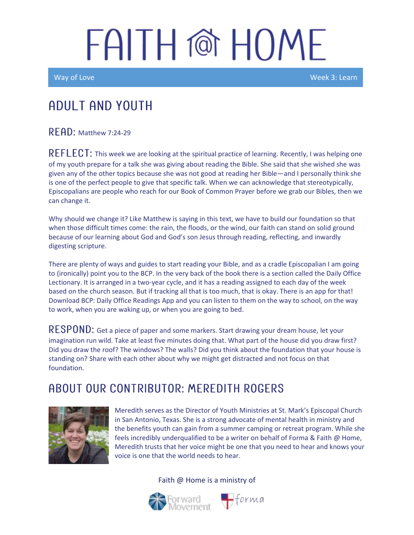Way of Love New York 2: Learn New York 2: Learn New York 2: Learn New York 2: Learn

### Adult and youth

**RFAD: Matthew 7:24-29** 

REFLECT: This week we are looking at the spiritual practice of learning. Recently, I was helping one of my youth prepare for a talk she was giving about reading the Bible. She said that she wished she was given any of the other topics because she was not good at reading her Bible—and I personally think she is one of the perfect people to give that specific talk. When we can acknowledge that stereotypically, Episcopalians are people who reach for our Book of Common Prayer before we grab our Bibles, then we can change it.

Why should we change it? Like Matthew is saying in this text, we have to build our foundation so that when those difficult times come: the rain, the floods, or the wind, our faith can stand on solid ground because of our learning about God and God's son Jesus through reading, reflecting, and inwardly digesting scripture.

There are plenty of ways and guides to start reading your Bible, and as a cradle Episcopalian I am going to (ironically) point you to the BCP. In the very back of the book there is a section called the Daily Office Lectionary. It is arranged in a two-year cycle, and it has a reading assigned to each day of the week based on the church season. But if tracking all that is too much, that is okay. There is an app for that! Download BCP: Daily Office Readings App and you can listen to them on the way to school, on the way to work, when you are waking up, or when you are going to bed.

 $\sf{RESPOND:}$  Get a piece of paper and some markers. Start drawing your dream house, let your imagination run wild. Take at least five minutes doing that. What part of the house did you draw first? Did you draw the roof? The windows? The walls? Did you think about the foundation that your house is standing on? Share with each other about why we might get distracted and not focus on that foundation.

#### A BOUT OUR CONTRIBUTOR: MEREDITH ROGERS



Meredith serves as the Director of Youth Ministries at St. Mark's Episcopal Church in San Antonio, Texas. She is a strong advocate of mental health in ministry and the benefits youth can gain from a summer camping or retreat program. While she feels incredibly underqualified to be a writer on behalf of Forma & Faith @ Home, Meredith trusts that her voice might be one that you need to hear and knows your voice is one that the world needs to hear.